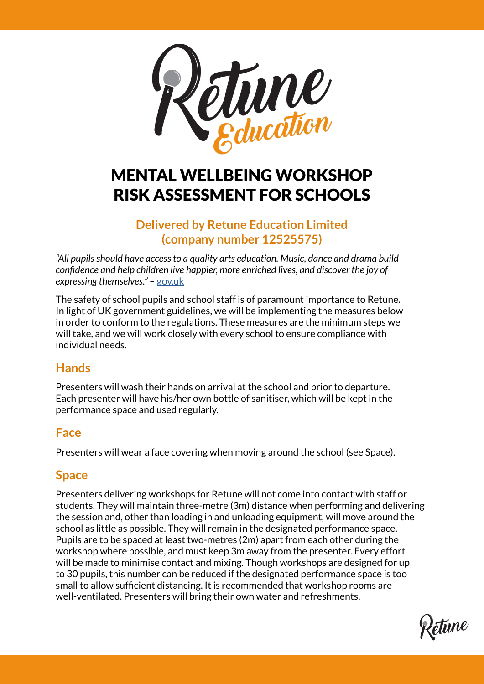

# MENTAL WELLBEING WORKSHOP RISK ASSESSMENT FOR SCHOOLS

# **Delivered by Retune Education Limited (company number 12525575)**

*"All pupils should have access to a quality arts education. Music, dance and drama build confidence and help children live happier, more enriched lives, and discover the joy of expressing themselves."* – [gov.uk](http://www.gov.uk)

The safety of school pupils and school staff is of paramount importance to Retune. In light of UK government guidelines, we will be implementing the measures below in order to conform to the regulations. These measures are the minimum steps we will take, and we will work closely with every school to ensure compliance with individual needs.

# **Hands**

Presenters will wash their hands on arrival at the school and prior to departure. Each presenter will have his/her own bottle of sanitiser, which will be kept in the performance space and used regularly.

## **Face**

Presenters will wear a face covering when moving around the school (see Space).

# **Space**

Presenters delivering workshops for Retune will not come into contact with staff or students. They will maintain three-metre (3m) distance when performing and delivering the session and, other than loading in and unloading equipment, will move around the school as little as possible. They will remain in the designated performance space. Pupils are to be spaced at least two-metres (2m) apart from each other during the workshop where possible, and must keep 3m away from the presenter. Every effort will be made to minimise contact and mixing. Though workshops are designed for up to 30 pupils, this number can be reduced if the designated performance space is too small to allow sufficient distancing. It is recommended that workshop rooms are well-ventilated. Presenters will bring their own water and refreshments.

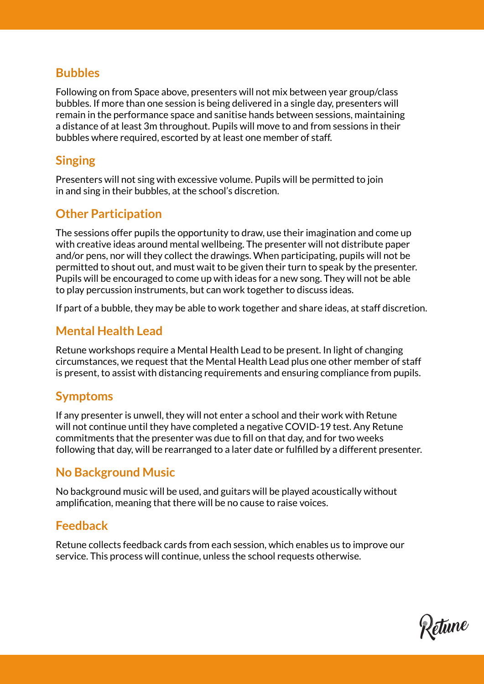#### **Bubbles**

Following on from Space above, presenters will not mix between year group/class bubbles. If more than one session is being delivered in a single day, presenters will remain in the performance space and sanitise hands between sessions, maintaining a distance of at least 3m throughout. Pupils will move to and from sessions in their bubbles where required, escorted by at least one member of staff.

# **Singing**

Presenters will not sing with excessive volume. Pupils will be permitted to join in and sing in their bubbles, at the school's discretion.

# **Other Participation**

The sessions offer pupils the opportunity to draw, use their imagination and come up with creative ideas around mental wellbeing. The presenter will not distribute paper and/or pens, nor will they collect the drawings. When participating, pupils will not be permitted to shout out, and must wait to be given their turn to speak by the presenter. Pupils will be encouraged to come up with ideas for a new song. They will not be able to play percussion instruments, but can work together to discuss ideas.

If part of a bubble, they may be able to work together and share ideas, at staff discretion.

# **Mental Health Lead**

Retune workshops require a Mental Health Lead to be present. In light of changing circumstances, we request that the Mental Health Lead plus one other member of staff is present, to assist with distancing requirements and ensuring compliance from pupils.

## **Symptoms**

If any presenter is unwell, they will not enter a school and their work with Retune will not continue until they have completed a negative COVID-19 test. Any Retune commitments that the presenter was due to fill on that day, and for two weeks following that day, will be rearranged to a later date or fulfilled by a different presenter.

## **No Background Music**

No background music will be used, and guitars will be played acoustically without amplification, meaning that there will be no cause to raise voices.

## **Feedback**

Retune collects feedback cards from each session, which enables us to improve our service. This process will continue, unless the school requests otherwise.